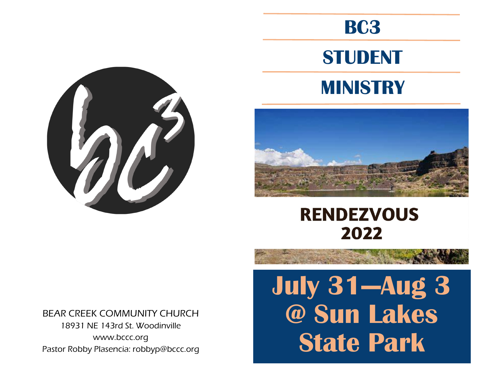







# **RENDEZVOUS** 2022

BEAR CREEK COMMUNITY CHURCH 18931 NE 143rd St. Woodinville www.bccc.org Pastor Robby Plasencia: robbyp@bccc.org

# **July 31—Aug 3 @ Sun Lakes State Park**